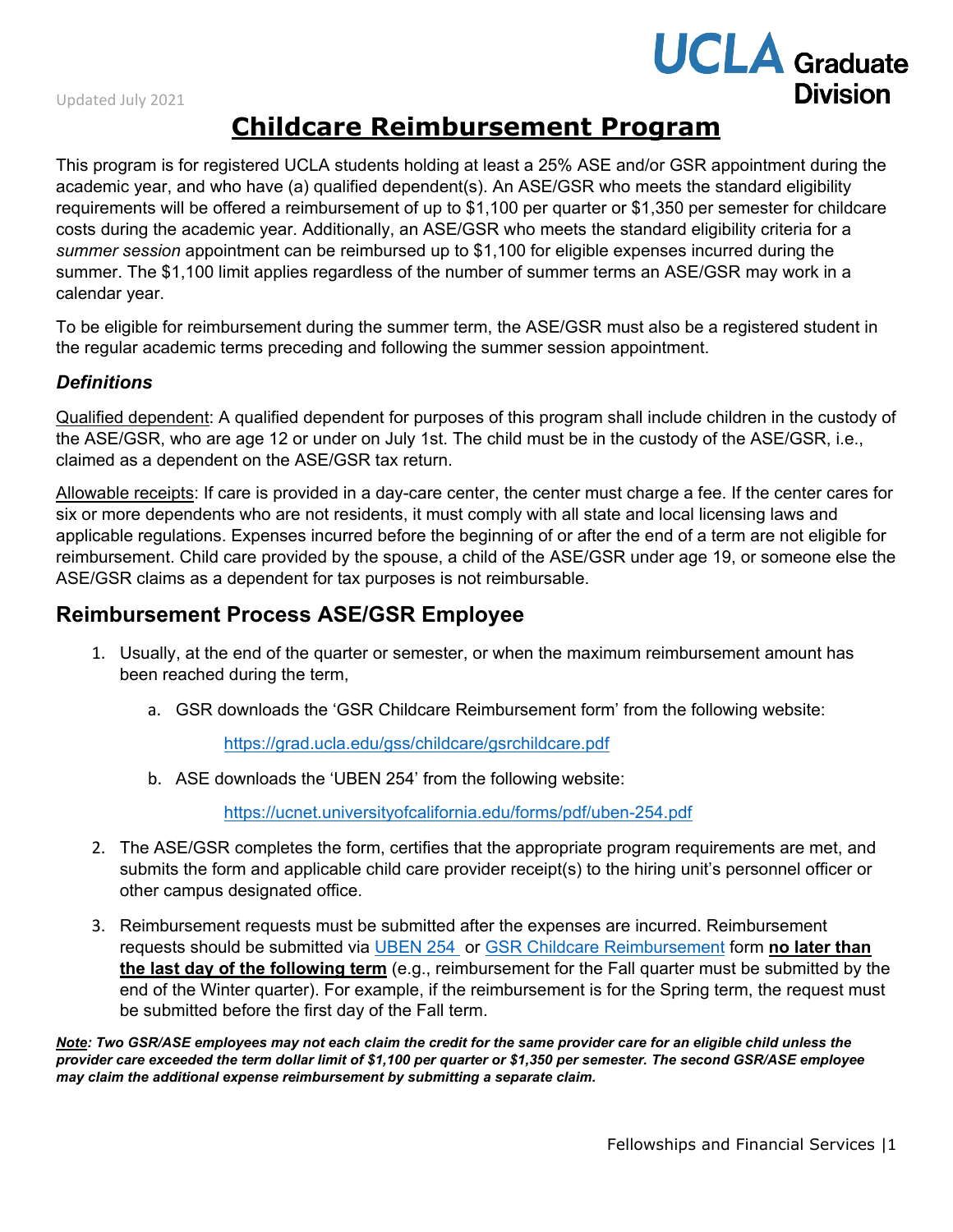# **UCLA** Graduate **Division**

## **Childcare Reimbursement Program**

This program is for registered UCLA students holding at least a 25% ASE and/or GSR appointment during the academic year, and who have (a) qualified dependent(s). An ASE/GSR who meets the standard eligibility requirements will be offered a reimbursement of up to \$1,100 per quarter or \$1,350 per semester for childcare costs during the academic year. Additionally, an ASE/GSR who meets the standard eligibility criteria for a *summer session* appointment can be reimbursed up to \$1,100 for eligible expenses incurred during the summer. The \$1,100 limit applies regardless of the number of summer terms an ASE/GSR may work in a calendar year.

To be eligible for reimbursement during the summer term, the ASE/GSR must also be a registered student in the regular academic terms preceding and following the summer session appointment.

#### *Definitions*

Qualified dependent: A qualified dependent for purposes of this program shall include children in the custody of the ASE/GSR, who are age 12 or under on July 1st. The child must be in the custody of the ASE/GSR, i.e., claimed as a dependent on the ASE/GSR tax return.

Allowable receipts: If care is provided in a day-care center, the center must charge a fee. If the center cares for six or more dependents who are not residents, it must comply with all state and local licensing laws and applicable regulations. Expenses incurred before the beginning of or after the end of a term are not eligible for reimbursement. Child care provided by the spouse, a child of the ASE/GSR under age 19, or someone else the ASE/GSR claims as a dependent for tax purposes is not reimbursable.

#### **Reimbursement Process ASE/GSR Employee**

- 1. Usually, at the end of the quarter or semester, or when the maximum reimbursement amount has been reached during the term,
	- a. GSR downloads the 'GSR Childcare Reimbursement form' from the following website:

<https://grad.ucla.edu/gss/childcare/gsrchildcare.pdf>

b. ASE downloads the 'UBEN 254' from the following website:

<https://ucnet.universityofcalifornia.edu/forms/pdf/uben-254.pdf>

- 2. The ASE/GSR completes the form, certifies that the appropriate program requirements are met, and submits the form and applicable child care provider receipt(s) to the hiring unit's personnel officer or other campus designated office.
- 3. Reimbursement requests must be submitted after the expenses are incurred. Reimbursement requests should be submitted via [UBEN 254](https://ucnet.universityofcalifornia.edu/forms/pdf/uben-254.pdf) or [GSR Childcare Reimbursement](https://grad.ucla.edu/gss/childcare/gsrchildcare.pdf) form **no later than the last day of the following term** (e.g., reimbursement for the Fall quarter must be submitted by the end of the Winter quarter). For example, if the reimbursement is for the Spring term, the request must be submitted before the first day of the Fall term.

*Note: Two GSR/ASE employees may not each claim the credit for the same provider care for an eligible child unless the provider care exceeded the term dollar limit of \$1,100 per quarter or \$1,350 per semester. The second GSR/ASE employee may claim the additional expense reimbursement by submitting a separate claim.*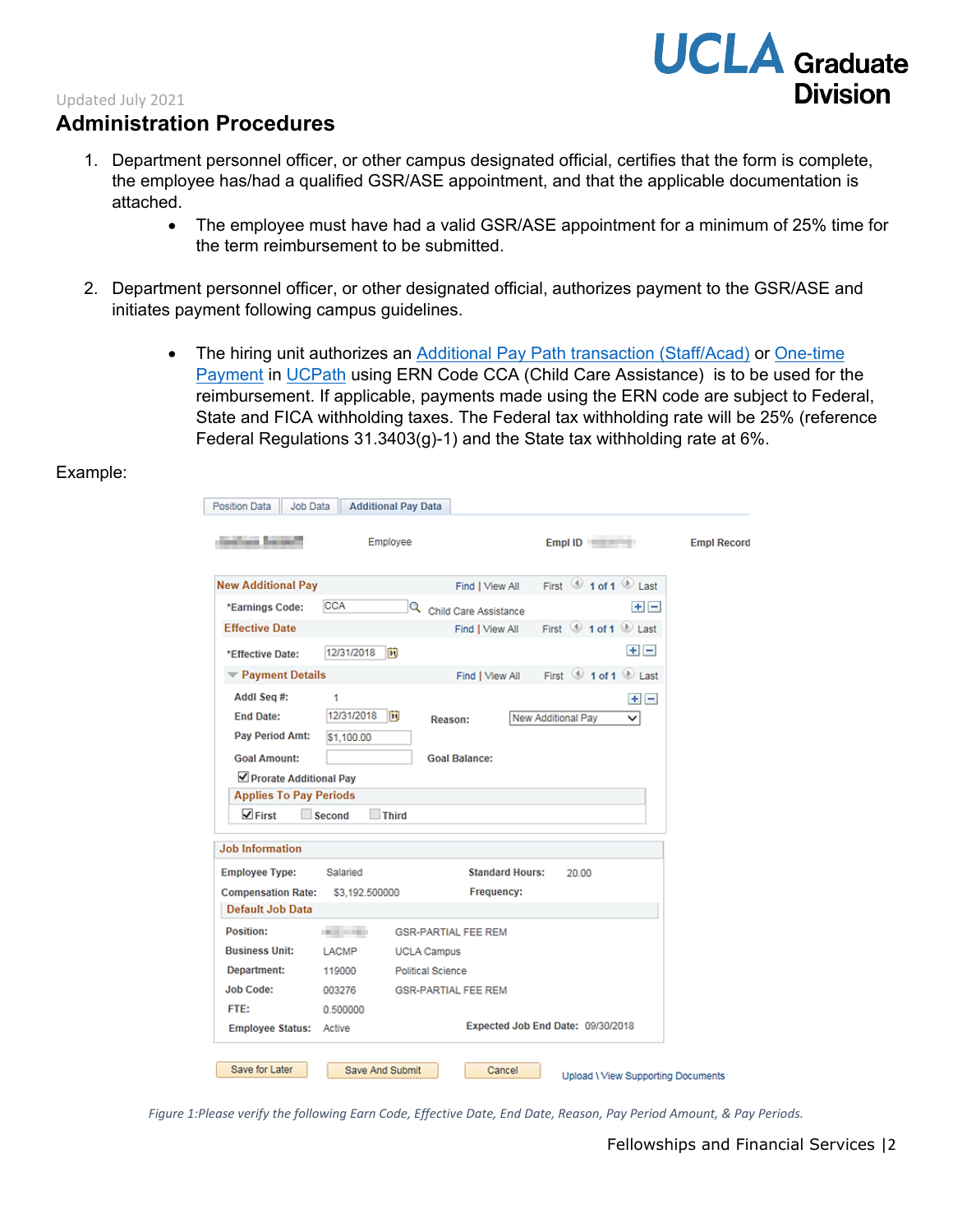## Updated July 2021

### **Administration Procedures**

- 1. Department personnel officer, or other campus designated official, certifies that the form is complete, the employee has/had a qualified GSR/ASE appointment, and that the applicable documentation is attached.
	- The employee must have had a valid GSR/ASE appointment for a minimum of 25% time for the term reimbursement to be submitted.
- 2. Department personnel officer, or other designated official, authorizes payment to the GSR/ASE and initiates payment following campus guidelines.
	- The hiring unit authorizes an [Additional Pay Path transaction \(Staff/Acad\)](https://sp.ucop.edu/sites/ucpathhelp/LocationUsers/LOCplayer/data/printit/5e23e31a-d435-4299-88c3-2fe5ccf30e5a_SPD.pdf) or One-time [Payment](https://sp.ucop.edu/sites/ucpathhelp/LocationUsers/LOCplayer/data/printit/055f6214-20b1-4318-8580-f774f0df762f_SPD.pdf) in [UCPath](https://ucpath.universityofcalifornia.edu/home) using ERN Code CCA (Child Care Assistance) is to be used for the reimbursement. If applicable, payments made using the ERN code are subject to Federal, State and FICA withholding taxes. The Federal tax withholding rate will be 25% (reference Federal Regulations  $31.3403(g)$ -1) and the State tax withholding rate at 6%.

#### Example:

| <b><i><u>College Services</u></i></b> | Employee        |                            | Empl ID                                 | <b>Empl Record</b> |
|---------------------------------------|-----------------|----------------------------|-----------------------------------------|--------------------|
| <b>New Additional Pay</b>             |                 | Find   View All            | First 1 of 1 2 Last                     |                    |
| *Earnings Code:                       | <b>CCA</b>      | Child Care Assistance      | $+$ $-$                                 |                    |
| <b>Effective Date</b>                 |                 | Find   View All            | First $\bigcirc$ 1 of 1 $\bigcirc$ Last |                    |
| *Effective Date:                      | 12/31/2018      | Ħ                          | $+$ $-$                                 |                    |
| Payment Details                       |                 | Find   View All            | First $\bigcirc$ 1 of 1 $\bigcirc$ Last |                    |
| Addl Seq #:                           | 1               |                            | $+$ $-$                                 |                    |
| <b>End Date:</b>                      | 12/31/2018      | E<br>Reason:               | New Additional Pay<br>◡                 |                    |
| Pay Period Amt:                       | \$1,100.00      |                            |                                         |                    |
| <b>Goal Amount:</b>                   |                 | <b>Goal Balance:</b>       |                                         |                    |
| ☑ Prorate Additional Pay              |                 |                            |                                         |                    |
| <b>Applies To Pay Periods</b>         |                 |                            |                                         |                    |
| $\sqrt{}$ First                       | Second          | <b>Third</b>               |                                         |                    |
| <b>Job Information</b>                |                 |                            |                                         |                    |
| <b>Employee Type:</b>                 | Salaried        | <b>Standard Hours:</b>     | 20.00                                   |                    |
| <b>Compensation Rate:</b>             | \$3,192,500000  | Frequency:                 |                                         |                    |
| Default Job Data                      |                 |                            |                                         |                    |
| Position:                             | <b>ALCOHOL:</b> | <b>GSR-PARTIAL FEE REM</b> |                                         |                    |
| <b>Business Unit:</b>                 | LACMP           | <b>UCLA Campus</b>         |                                         |                    |
|                                       | 119000          | Political Science          |                                         |                    |
| Department:                           |                 | <b>GSR-PARTIAL FEE REM</b> |                                         |                    |
| <b>Job Code:</b>                      | 003276          |                            |                                         |                    |
| FTE:                                  | 0.500000        |                            | Expected Job End Date: 09/30/2018       |                    |

*Figure 1:Please verify the following Earn Code, Effective Date, End Date, Reason, Pay Period Amount, & Pay Periods.*